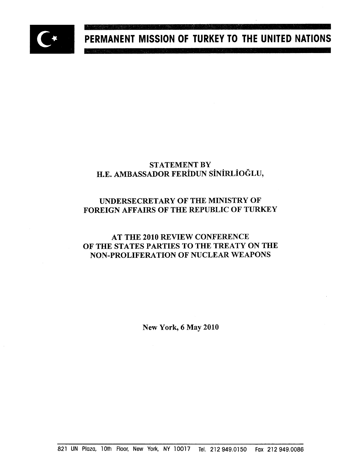

# PERMANENT MISSION OF TURKEY TO THE UNITED NATIONS

## STATEMENT BY H.E. AMBASSADOR FERIDUN SINiRLIOGLU,

## UNDERSECRETARY OF THE MINISTRY OF FOREIGN AFFAIRS OF THE REPUBLIC OF TURKEY

## AT THE 2010 REVIEW CONFERENCE OF THE STATES PARTIES TO THE TREATY ON THE NON-PROLIFERATION OF NUCLEAR WEAPONS

New York, 6 May 2010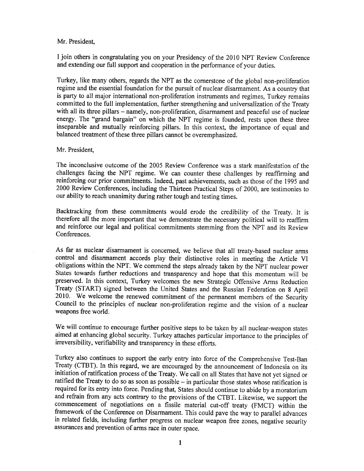#### Mr. President,

I join others in congratulating you on your Presidency of the 2010 NPT Review Conference and extending our full support and cooperation in the performance of your duties.

Turkey, like many others, regards the NPT as the cornerstone of the global non-proliferation regime and the essential foundation for the pursuit of nuclear disarmament. As a country that is party to all major international non-proliferation instruments and regimes, Turkey remains committed to the full implementation, further strengthening and universalization of the Treaty with all its three pillars - namely, non-proliferation, disarmament and peaceful use of nuclear energy. The "grand bargain" on which the NPT regime is founded, rests upon these three inseparable and mutually reinforcing pillars. In this context, the importance of equal and balanced treatment of these three pillars cannot be overemphasized.

#### Mr. President,

The inconclusive outcome of the 2005 Review Conference was a stark manifestation of the challenges facing the NPT regime. We can counter these challenges by reaffirming and reinforcing our prior commitments. Indeed, past achievements, such as those of the 1995 and 2000 Review Conferences, including the Thirteen Practical Steps of 2000, are testimonies to our ability to reach unanimity during rather tough and testing times.

Backtracking from these commitments would erode the credibility of the Treaty. It is therefore all the more important that we demonstrate the necessary political will to reaffirm and reinforce our legal and political commitments stemming from the NPT and its Review Conferences.

As far as nuclear disarmament is concerned, we believe that all treaty-based nuclear arms control and disarmament accords play their distinctive roles in meeting the Article VI obligations within the NPT. We commend the steps already taken by the NPT nuclear power States towards further reductions and transparency and hope that this momentum will be preserved. In this context, Turkey welcomes the new Strategic Offensive Arms Reduction Treaty (START) signed between the United States and the Russian Federation on 8 April 2010. We welcome the renewed commitment of the permanent members of the Security Council to the principles of nuclear non-proliferation regime and the vision of a nuclear weapons free world.

We will continue to encourage further positive steps to be taken by all nuclear-weapon states aimed at enhancing global security. Turkey attaches particular importance to the principles of irreversibility, verifiability and transparency in these efforts.

Turkey also continues to support the early entry into force of the Comprehensive Test-Ban Treaty (CTBT). In this regard, we are encouraged by the announcement of Indonesia on its initiation of ratification process of the Treaty. We call on all States that have not yet signed or ratified the Treaty to do so as soon as possible  $-$  in particular those states whose ratification is required for its entry into force. Pending that, States should continue to abide by a moratorium and refrain from any acts contrary to the provisions of the CTBT. Likewise, we support the commencement of negotiations on a fissile material cut-off treaty (FMCT) within the framework of the Conference on Disarmament. This could pave the way to parallel advances in related fields, including further progress on nuclear weapon free zones, negative security assurances and prevention of arms race in outer space.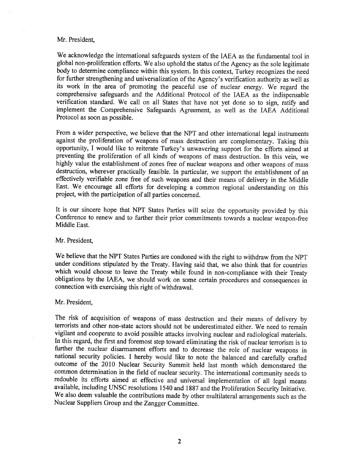#### Mr. President,

We acknowledge the international safeguards system of the IAEA as the fundamental tool in global non-proliferation efforts. We also uphold the status of the Agency as the sole legitimate body to determine compliance within this system. In this context, Turkey recognizes the need for further strengthening and universalization of the Agency's verification authority as well as its work in the area of promoting the peaceful use of nuclear energy. We regard the comprehensive safeguards and the Additional Protocol of the IAEA as the indispensable verification standard. We call on all States that have not yet done so to sign, ratify and implement the Comprehensive Safeguards Agreement, as well as the IAEA Additional Protocol as soon as possible.

From a wider perspective, we believe that the NPT and other international legal instruments against the proliferation of weapons of mass destruction are complementary. Taking this opportunity, I would like to reiterate Turkey's unwavering support for the efforts aimed at preventing the proliferation of all kinds of weapons of mass destruction. In this vein, we highly value the establishment of zones free of nuclear weapons and other weapons of mass destruction, wherever practically feasible. In particular, we support the establishment of an effectively verifiable zone free of such weapons and their means of delivery in the Middle East. We encourage all efforts for developing a common regional understanding on this project, with the participation of all parties concerned.

It is our sincere hope that NPT States Parties will seize the opportunity provided by this Conference to renew and to further their prior commitments towards a nuclear weapon-free Middle East.

#### Mr. President,

We believe that the NPT States Parties are condoned with the right to withdraw from the NPT under conditions stipulated by the Treaty. Having said that, we also think that for countries which would choose to leave the Treaty while found in non-compliance with their Treaty obligations by the IAEA, we should work on some certain procedures and consequences in connection with exercising this right of withdrawal.

#### Mr. President,

The risk of acquisition of weapons of mass destruction and their means of delivery by terrorists and other non-state actors should not be underestimated either. We need to remain vigilant and cooperate to avoid possible attacks involving nuclear and radiological materials. In this regard, the first and foremost step toward eliminating the risk of nuclear terrorism is to further the nuclear disarmament efforts and to decrease the role of nuclear weapons in national security policies. I hereby would like to note the balanced and carefully crafted outcome of the 2010 Nuclear Security Summit held last month which demonstared the common determination in the field of nuclear security. The international community needs to redouble its efforts aimed at effective and universal implementation of all legal means available, including UNSC resolutions 1540 and 1887 and the Proliferation Security Initiative. We also deem valuable the contributions made by other multilateral arrangements such as the Nuclear Suppliers Group and the Zangger Committee.